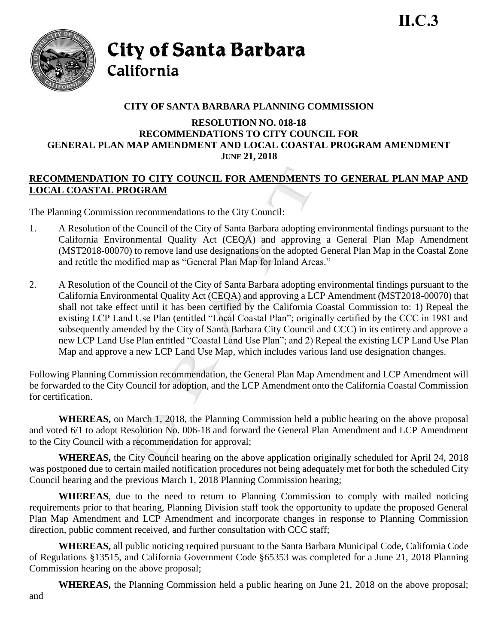

City of Santa Barbara California

## **CITY OF SANTA BARBARA PLANNING COMMISSION**

## **RESOLUTION NO. 018-18 RECOMMENDATIONS TO CITY COUNCIL FOR GENERAL PLAN MAP AMENDMENT AND LOCAL COASTAL PROGRAM AMENDMENT JUNE 21, 2018**

## **RECOMMENDATION TO CITY COUNCIL FOR AMENDMENTS TO GENERAL PLAN MAP AND LOCAL COASTAL PROGRAM**

The Planning Commission recommendations to the City Council:

- 1. A Resolution of the Council of the City of Santa Barbara adopting environmental findings pursuant to the California Environmental Quality Act (CEQA) and approving a General Plan Map Amendment (MST2018-00070) to remove land use designations on the adopted General Plan Map in the Coastal Zone and retitle the modified map as "General Plan Map for Inland Areas."
- 2. A Resolution of the Council of the City of Santa Barbara adopting environmental findings pursuant to the California Environmental Quality Act (CEQA) and approving a LCP Amendment (MST2018-00070) that shall not take effect until it has been certified by the California Coastal Commission to: 1) Repeal the existing LCP Land Use Plan (entitled "Local Coastal Plan"; originally certified by the CCC in 1981 and subsequently amended by the City of Santa Barbara City Council and CCC) in its entirety and approve a new LCP Land Use Plan entitled "Coastal Land Use Plan"; and 2) Repeal the existing LCP Land Use Plan Map and approve a new LCP Land Use Map, which includes various land use designation changes.

Following Planning Commission recommendation, the General Plan Map Amendment and LCP Amendment will be forwarded to the City Council for adoption, and the LCP Amendment onto the California Coastal Commission for certification.

**WHEREAS,** on March 1, 2018, the Planning Commission held a public hearing on the above proposal and voted 6/1 to adopt Resolution No. 006-18 and forward the General Plan Amendment and LCP Amendment to the City Council with a recommendation for approval;

**WHEREAS,** the City Council hearing on the above application originally scheduled for April 24, 2018 was postponed due to certain mailed notification procedures not being adequately met for both the scheduled City Council hearing and the previous March 1, 2018 Planning Commission hearing;

**WHEREAS**, due to the need to return to Planning Commission to comply with mailed noticing requirements prior to that hearing, Planning Division staff took the opportunity to update the proposed General Plan Map Amendment and LCP Amendment and incorporate changes in response to Planning Commission direction, public comment received, and further consultation with CCC staff;

**WHEREAS,** all public noticing required pursuant to the Santa Barbara Municipal Code, California Code of Regulations §13515, and California Government Code §65353 was completed for a June 21, 2018 Planning Commission hearing on the above proposal;

**WHEREAS,** the Planning Commission held a public hearing on June 21, 2018 on the above proposal; and